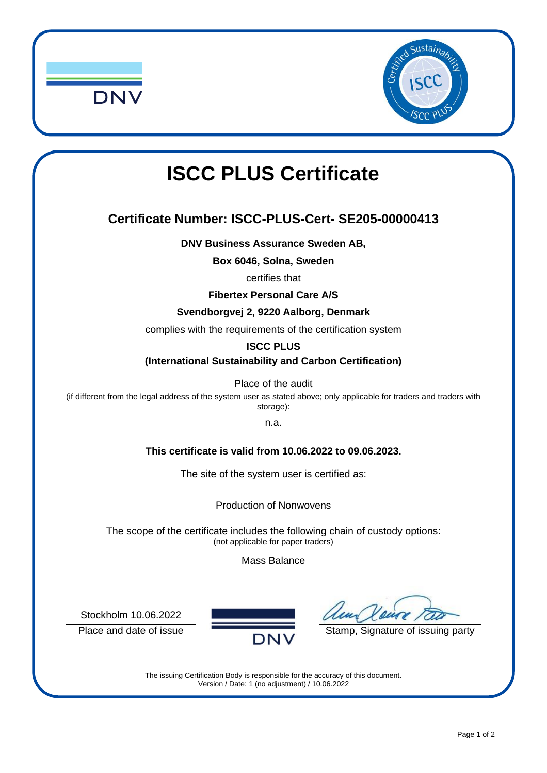



# **ISCC PLUS Certificate**

## **Certificate Number: ISCC-PLUS-Cert- SE205-00000413**

**DNV Business Assurance Sweden AB,**

**Box 6046, Solna, Sweden**

certifies that

**Fibertex Personal Care A/S** 

#### **Svendborgvej 2, 9220 Aalborg, Denmark**

complies with the requirements of the certification system

#### **ISCC PLUS**

**(International Sustainability and Carbon Certification)**

Place of the audit

(if different from the legal address of the system user as stated above; only applicable for traders and traders with storage):

n.a.

#### **This certificate is valid from 10.06.2022 to 09.06.2023.**

The site of the system user is certified as:

Production of Nonwovens

The scope of the certificate includes the following chain of custody options: (not applicable for paper traders)

Mass Balance

Stockholm 10.06.2022



Place and date of issue  $\overline{DNV}$  Stamp, Signature of issuing party

The issuing Certification Body is responsible for the accuracy of this document. Version / Date: 1 (no adjustment) / 10.06.2022